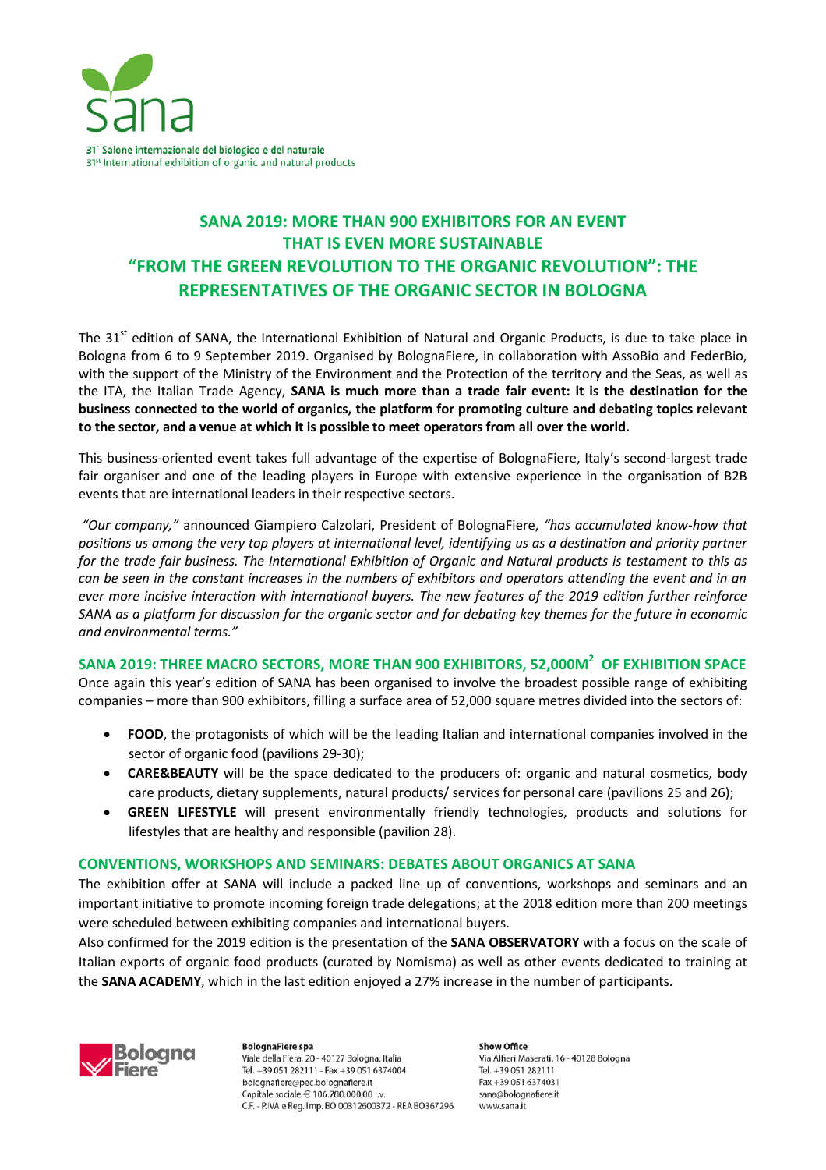

# **SANA 2019: MORE THAN 900 EXHIBITORS FOR AN EVENT THAT IS EVEN MORE SUSTAINABLE "FROM THE GREEN REVOLUTION TO THE ORGANIC REVOLUTION": THE REPRESENTATIVES OF THE ORGANIC SECTOR IN BOLOGNA**

The 31<sup>st</sup> edition of SANA, the International Exhibition of Natural and Organic Products, is due to take place in Bologna from 6 to 9 September 2019. Organised by BolognaFiere, in collaboration with AssoBio and FederBio, with the support of the Ministry of the Environment and the Protection of the territory and the Seas, as well as the ITA, the Italian Trade Agency, **SANA is much more than a trade fair event: it is the destination for the business connected to the world of organics, the platform for promoting culture and debating topics relevant to the sector, and a venue at which it is possible to meet operators from all over the world.**

This business-oriented event takes full advantage of the expertise of BolognaFiere, Italy's second-largest trade fair organiser and one of the leading players in Europe with extensive experience in the organisation of B2B events that are international leaders in their respective sectors.

*"Our company,"* announced Giampiero Calzolari, President of BolognaFiere, *"has accumulated know-how that positions us among the very top players at international level, identifying us as a destination and priority partner for the trade fair business. The International Exhibition of Organic and Natural products is testament to this as can be seen in the constant increases in the numbers of exhibitors and operators attending the event and in an ever more incisive interaction with international buyers. The new features of the 2019 edition further reinforce SANA as a platform for discussion for the organic sector and for debating key themes for the future in economic and environmental terms."*

## **SANA 2019: THREE MACRO SECTORS, MORE THAN 900 EXHIBITORS, 52,000M<sup>2</sup> OF EXHIBITION SPACE**

Once again this year's edition of SANA has been organised to involve the broadest possible range of exhibiting companies – more than 900 exhibitors, filling a surface area of 52,000 square metres divided into the sectors of:

- **FOOD**, the protagonists of which will be the leading Italian and international companies involved in the sector of organic food (pavilions 29-30);
- **CARE&BEAUTY** will be the space dedicated to the producers of: organic and natural cosmetics, body care products, dietary supplements, natural products/ services for personal care (pavilions 25 and 26);
- **GREEN LIFESTYLE** will present environmentally friendly technologies, products and solutions for lifestyles that are healthy and responsible (pavilion 28).

### **CONVENTIONS, WORKSHOPS AND SEMINARS: DEBATES ABOUT ORGANICS AT SANA**

The exhibition offer at SANA will include a packed line up of conventions, workshops and seminars and an important initiative to promote incoming foreign trade delegations; at the 2018 edition more than 200 meetings were scheduled between exhibiting companies and international buyers.

Also confirmed for the 2019 edition is the presentation of the **SANA OBSERVATORY** with a focus on the scale of Italian exports of organic food products (curated by Nomisma) as well as other events dedicated to training at the **SANA ACADEMY**, which in the last edition enjoyed a 27% increase in the number of participants.



**BolognaFiere** spa Viale della Fiera, 20 - 40127 Bologna, Italia Tel. +39 051 282111 - Fax +39 051 6374004 bolognafiere@pec.bolognafiere.it Capitale sociale  $\in$  106.780.000.00 i.v. C.F. - P.IVA e Reg. Imp. BO 00312600372 - REA BO367296

Show Office Via Alfieri Maserati, 16 - 40128 Bologna Tel. +39 051 282111 Fax +39 051 6374031 sana@bolognafiere.it www.sana.it